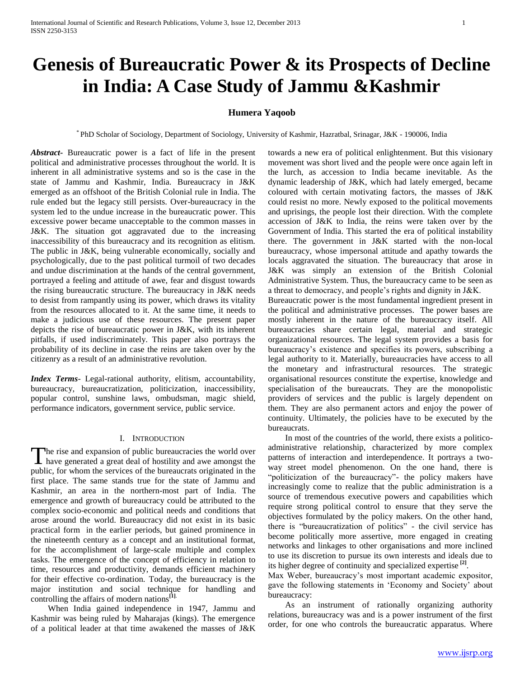# **Genesis of Bureaucratic Power & its Prospects of Decline in India: A Case Study of Jammu &Kashmir**

# **Humera Yaqoob**

\* PhD Scholar of Sociology, Department of Sociology, University of Kashmir, Hazratbal, Srinagar, J&K - 190006, India

*Abstract***-** Bureaucratic power is a fact of life in the present political and administrative processes throughout the world. It is inherent in all administrative systems and so is the case in the state of Jammu and Kashmir, India. Bureaucracy in J&K emerged as an offshoot of the British Colonial rule in India. The rule ended but the legacy still persists. Over-bureaucracy in the system led to the undue increase in the bureaucratic power. This excessive power became unacceptable to the common masses in J&K. The situation got aggravated due to the increasing inaccessibility of this bureaucracy and its recognition as elitism. The public in J&K, being vulnerable economically, socially and psychologically, due to the past political turmoil of two decades and undue discrimination at the hands of the central government, portrayed a feeling and attitude of awe, fear and disgust towards the rising bureaucratic structure. The bureaucracy in J&K needs to desist from rampantly using its power, which draws its vitality from the resources allocated to it. At the same time, it needs to make a judicious use of these resources. The present paper depicts the rise of bureaucratic power in J&K, with its inherent pitfalls, if used indiscriminately. This paper also portrays the probability of its decline in case the reins are taken over by the citizenry as a result of an administrative revolution.

*Index Terms*- Legal-rational authority, elitism, accountability, bureaucracy, bureaucratization, politicization, inaccessibility, popular control, sunshine laws, ombudsman, magic shield, performance indicators, government service, public service.

## I. INTRODUCTION

The rise and expansion of public bureaucracies the world over The rise and expansion of public bureaucracies the world over<br>thave generated a great deal of hostility and awe amongst the public, for whom the services of the bureaucrats originated in the first place. The same stands true for the state of Jammu and Kashmir, an area in the northern-most part of India. The emergence and growth of bureaucracy could be attributed to the complex socio-economic and political needs and conditions that arose around the world. Bureaucracy did not exist in its basic practical form in the earlier periods, but gained prominence in the nineteenth century as a concept and an institutional format, for the accomplishment of large-scale multiple and complex tasks. The emergence of the concept of efficiency in relation to time, resources and productivity, demands efficient machinery for their effective co-ordination. Today, the bureaucracy is the major institution and social technique for handling and controlling the affairs of modern nations**[1]**.

 When India gained independence in 1947, Jammu and Kashmir was being ruled by Maharajas (kings). The emergence of a political leader at that time awakened the masses of J&K towards a new era of political enlightenment. But this visionary movement was short lived and the people were once again left in the lurch, as accession to India became inevitable. As the dynamic leadership of J&K, which had lately emerged, became coloured with certain motivating factors, the masses of J&K could resist no more. Newly exposed to the political movements and uprisings, the people lost their direction. With the complete accession of J&K to India, the reins were taken over by the Government of India. This started the era of political instability there. The government in J&K started with the non-local bureaucracy, whose impersonal attitude and apathy towards the locals aggravated the situation. The bureaucracy that arose in J&K was simply an extension of the British Colonial Administrative System. Thus, the bureaucracy came to be seen as a threat to democracy, and people's rights and dignity in J&K. Bureaucratic power is the most fundamental ingredient present in the political and administrative processes. The power bases are

mostly inherent in the nature of the bureaucracy itself. All bureaucracies share certain legal, material and strategic organizational resources. The legal system provides a basis for bureaucracy's existence and specifies its powers, subscribing a legal authority to it. Materially, bureaucracies have access to all the monetary and infrastructural resources. The strategic organisational resources constitute the expertise, knowledge and specialisation of the bureaucrats. They are the monopolistic providers of services and the public is largely dependent on them. They are also permanent actors and enjoy the power of continuity. Ultimately, the policies have to be executed by the bureaucrats.

 In most of the countries of the world, there exists a politicoadministrative relationship, characterized by more complex patterns of interaction and interdependence. It portrays a twoway street model phenomenon. On the one hand, there is "politicization of the bureaucracy"- the policy makers have increasingly come to realize that the public administration is a source of tremendous executive powers and capabilities which require strong political control to ensure that they serve the objectives formulated by the policy makers. On the other hand, there is "bureaucratization of politics" - the civil service has become politically more assertive, more engaged in creating networks and linkages to other organisations and more inclined to use its discretion to pursue its own interests and ideals due to its higher degree of continuity and specialized expertise **[2]** .

Max Weber, bureaucracy's most important academic expositor, gave the following statements in 'Economy and Society' about bureaucracy:

 As an instrument of rationally organizing authority relations, bureaucracy was and is a power instrument of the first order, for one who controls the bureaucratic apparatus. Where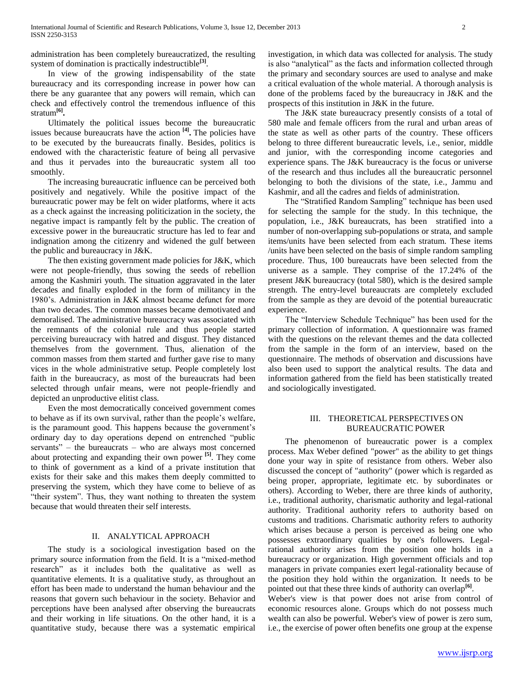administration has been completely bureaucratized, the resulting system of domination is practically indestructible<sup>[3]</sup>.

 In view of the growing indispensability of the state bureaucracy and its corresponding increase in power how can there be any guarantee that any powers will remain, which can check and effectively control the tremendous influence of this stratum**[6] .**

 Ultimately the political issues become the bureaucratic issues because bureaucrats have the action **[4] .** The policies have to be executed by the bureaucrats finally. Besides, politics is endowed with the characteristic feature of being all pervasive and thus it pervades into the bureaucratic system all too smoothly.

 The increasing bureaucratic influence can be perceived both positively and negatively. While the positive impact of the bureaucratic power may be felt on wider platforms, where it acts as a check against the increasing politicization in the society, the negative impact is rampantly felt by the public. The creation of excessive power in the bureaucratic structure has led to fear and indignation among the citizenry and widened the gulf between the public and bureaucracy in J&K.

 The then existing government made policies for J&K, which were not people-friendly, thus sowing the seeds of rebellion among the Kashmiri youth. The situation aggravated in the later decades and finally exploded in the form of militancy in the 1980's. Administration in J&K almost became defunct for more than two decades. The common masses became demotivated and demoralised. The administrative bureaucracy was associated with the remnants of the colonial rule and thus people started perceiving bureaucracy with hatred and disgust. They distanced themselves from the government. Thus, alienation of the common masses from them started and further gave rise to many vices in the whole administrative setup. People completely lost faith in the bureaucracy, as most of the bureaucrats had been selected through unfair means, were not people-friendly and depicted an unproductive elitist class.

 Even the most democratically conceived government comes to behave as if its own survival, rather than the people's welfare, is the paramount good. This happens because the government's ordinary day to day operations depend on entrenched "public servants" – the bureaucrats – who are always most concerned about protecting and expanding their own power **[5]**. They come to think of government as a kind of a private institution that exists for their sake and this makes them deeply committed to preserving the system, which they have come to believe of as "their system". Thus, they want nothing to threaten the system because that would threaten their self interests.

## II. ANALYTICAL APPROACH

 The study is a sociological investigation based on the primary source information from the field. It is a "mixed-method research" as it includes both the qualitative as well as quantitative elements. It is a qualitative study, as throughout an effort has been made to understand the human behaviour and the reasons that govern such behaviour in the society. Behavior and perceptions have been analysed after observing the bureaucrats and their working in life situations. On the other hand, it is a quantitative study, because there was a systematic empirical investigation, in which data was collected for analysis. The study is also "analytical" as the facts and information collected through the primary and secondary sources are used to analyse and make a critical evaluation of the whole material. A thorough analysis is done of the problems faced by the bureaucracy in J&K and the prospects of this institution in J&K in the future.

 The J&K state bureaucracy presently consists of a total of 580 male and female officers from the rural and urban areas of the state as well as other parts of the country. These officers belong to three different bureaucratic levels, i.e., senior, middle and junior, with the corresponding income categories and experience spans. The J&K bureaucracy is the focus or universe of the research and thus includes all the bureaucratic personnel belonging to both the divisions of the state, i.e., Jammu and Kashmir, and all the cadres and fields of administration.

 The "Stratified Random Sampling" technique has been used for selecting the sample for the study. In this technique, the population, i.e., J&K bureaucrats, has been stratified into a number of non-overlapping sub-populations or strata, and sample items/units have been selected from each stratum. These items /units have been selected on the basis of simple random sampling procedure. Thus, 100 bureaucrats have been selected from the universe as a sample. They comprise of the 17.24% of the present J&K bureaucracy (total 580), which is the desired sample strength. The entry-level bureaucrats are completely excluded from the sample as they are devoid of the potential bureaucratic experience.

 The "Interview Schedule Technique" has been used for the primary collection of information. A questionnaire was framed with the questions on the relevant themes and the data collected from the sample in the form of an interview, based on the questionnaire. The methods of observation and discussions have also been used to support the analytical results. The data and information gathered from the field has been statistically treated and sociologically investigated.

## III. THEORETICAL PERSPECTIVES ON BUREAUCRATIC POWER

 The phenomenon of bureaucratic power is a complex process. Max Weber defined "power" as the ability to get things done your way in spite of resistance from others. Weber also discussed the concept of "authority" (power which is regarded as being proper, appropriate, legitimate etc. by subordinates or others). According to Weber, there are three kinds of authority, i.e., traditional authority, charismatic authority and legal-rational authority. Traditional authority refers to authority based on customs and traditions. Charismatic authority refers to authority which arises because a person is perceived as being one who possesses extraordinary qualities by one's followers. Legalrational authority arises from the position one holds in a bureaucracy or organization. High government officials and top managers in private companies exert legal-rationality because of the position they hold within the organization. It needs to be pointed out that these three kinds of authority can overlap<sup>[6]</sup>.

Weber's view is that power does not arise from control of economic resources alone. Groups which do not possess much wealth can also be powerful. Weber's view of power is zero sum, i.e., the exercise of power often benefits one group at the expense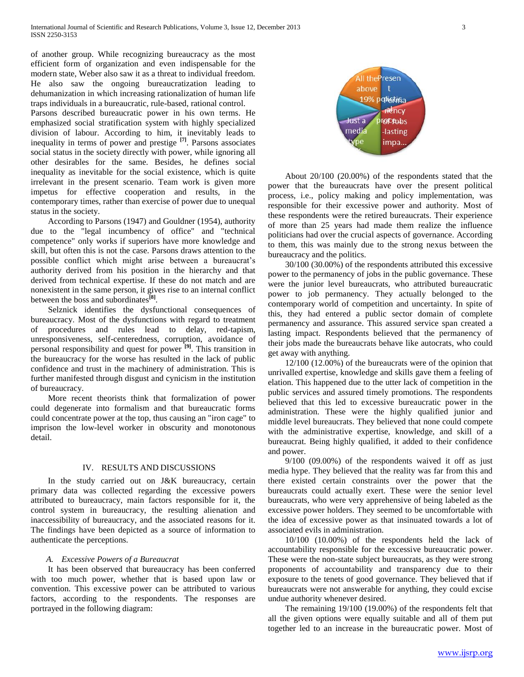of another group. While recognizing bureaucracy as the most efficient form of organization and even indispensable for the modern state, Weber also saw it as a threat to individual freedom. He also saw the ongoing bureaucratization leading to dehumanization in which increasing rationalization of human life traps individuals in a bureaucratic, rule-based, rational control.

Parsons described bureaucratic power in his own terms. He emphasized social stratification system with highly specialized division of labour. According to him, it inevitably leads to inequality in terms of power and prestige **[7]**. Parsons associates social status in the society directly with power, while ignoring all other desirables for the same. Besides, he defines social inequality as inevitable for the social existence, which is quite irrelevant in the present scenario. Team work is given more impetus for effective cooperation and results, in the contemporary times, rather than exercise of power due to unequal status in the society.

 According to Parsons (1947) and Gouldner (1954), authority due to the "legal incumbency of office" and "technical competence" only works if superiors have more knowledge and skill, but often this is not the case. Parsons draws attention to the possible conflict which might arise between a bureaucrat's authority derived from his position in the hierarchy and that derived from technical expertise. If these do not match and are nonexistent in the same person, it gives rise to an internal conflict between the boss and subordinates**[8]** .

 Selznick identifies the dysfunctional consequences of bureaucracy. Most of the dysfunctions with regard to treatment of procedures and rules lead to delay, red-tapism, unresponsiveness, self-centeredness, corruption, avoidance of personal responsibility and quest for power **[9]**. This transition in the bureaucracy for the worse has resulted in the lack of public confidence and trust in the machinery of administration. This is further manifested through disgust and cynicism in the institution of bureaucracy.

 More recent theorists think that formalization of power could degenerate into formalism and that bureaucratic forms could concentrate power at the top, thus causing an "iron cage" to imprison the low-level worker in obscurity and monotonous detail.

## IV. RESULTS AND DISCUSSIONS

In the study carried out on J&K bureaucracy, certain primary data was collected regarding the excessive powers attributed to bureaucracy, main factors responsible for it, the control system in bureaucracy, the resulting alienation and inaccessibility of bureaucracy, and the associated reasons for it. The findings have been depicted as a source of information to authenticate the perceptions.

#### *A. Excessive Powers of a Bureaucrat*

 It has been observed that bureaucracy has been conferred with too much power, whether that is based upon law or convention. This excessive power can be attributed to various factors, according to the respondents. The responses are portrayed in the following diagram:



 About 20/100 (20.00%) of the respondents stated that the power that the bureaucrats have over the present political process, i.e., policy making and policy implementation, was responsible for their excessive power and authority. Most of these respondents were the retired bureaucrats. Their experience of more than 25 years had made them realize the influence politicians had over the crucial aspects of governance. According to them, this was mainly due to the strong nexus between the bureaucracy and the politics.

 30/100 (30.00%) of the respondents attributed this excessive power to the permanency of jobs in the public governance. These were the junior level bureaucrats, who attributed bureaucratic power to job permanency. They actually belonged to the contemporary world of competition and uncertainty. In spite of this, they had entered a public sector domain of complete permanency and assurance. This assured service span created a lasting impact. Respondents believed that the permanency of their jobs made the bureaucrats behave like autocrats, who could get away with anything.

 12/100 (12.00%) of the bureaucrats were of the opinion that unrivalled expertise, knowledge and skills gave them a feeling of elation. This happened due to the utter lack of competition in the public services and assured timely promotions. The respondents believed that this led to excessive bureaucratic power in the administration. These were the highly qualified junior and middle level bureaucrats. They believed that none could compete with the administrative expertise, knowledge, and skill of a bureaucrat. Being highly qualified, it added to their confidence and power.

 9/100 (09.00%) of the respondents waived it off as just media hype. They believed that the reality was far from this and there existed certain constraints over the power that the bureaucrats could actually exert. These were the senior level bureaucrats, who were very apprehensive of being labeled as the excessive power holders. They seemed to be uncomfortable with the idea of excessive power as that insinuated towards a lot of associated evils in administration.

 10/100 (10.00%) of the respondents held the lack of accountability responsible for the excessive bureaucratic power. These were the non-state subject bureaucrats, as they were strong proponents of accountability and transparency due to their exposure to the tenets of good governance. They believed that if bureaucrats were not answerable for anything, they could excise undue authority whenever desired.

 The remaining 19/100 (19.00%) of the respondents felt that all the given options were equally suitable and all of them put together led to an increase in the bureaucratic power. Most of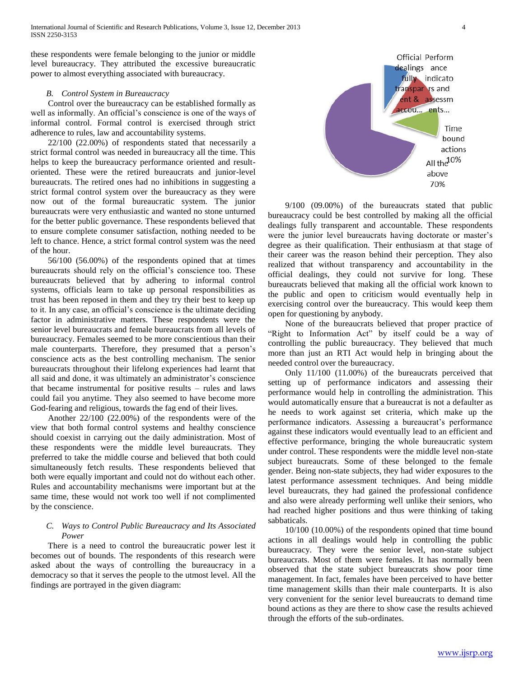these respondents were female belonging to the junior or middle level bureaucracy. They attributed the excessive bureaucratic power to almost everything associated with bureaucracy.

## *B. Control System in Bureaucracy*

 Control over the bureaucracy can be established formally as well as informally. An official's conscience is one of the ways of informal control. Formal control is exercised through strict adherence to rules, law and accountability systems.

 22/100 (22.00%) of respondents stated that necessarily a strict formal control was needed in bureaucracy all the time. This helps to keep the bureaucracy performance oriented and resultoriented. These were the retired bureaucrats and junior-level bureaucrats. The retired ones had no inhibitions in suggesting a strict formal control system over the bureaucracy as they were now out of the formal bureaucratic system. The junior bureaucrats were very enthusiastic and wanted no stone unturned for the better public governance. These respondents believed that to ensure complete consumer satisfaction, nothing needed to be left to chance. Hence, a strict formal control system was the need of the hour.

 56/100 (56.00%) of the respondents opined that at times bureaucrats should rely on the official's conscience too. These bureaucrats believed that by adhering to informal control systems, officials learn to take up personal responsibilities as trust has been reposed in them and they try their best to keep up to it. In any case, an official's conscience is the ultimate deciding factor in administrative matters. These respondents were the senior level bureaucrats and female bureaucrats from all levels of bureaucracy. Females seemed to be more conscientious than their male counterparts. Therefore, they presumed that a person's conscience acts as the best controlling mechanism. The senior bureaucrats throughout their lifelong experiences had learnt that all said and done, it was ultimately an administrator's conscience that became instrumental for positive results – rules and laws could fail you anytime. They also seemed to have become more God-fearing and religious, towards the fag end of their lives.

 Another 22/100 (22.00%) of the respondents were of the view that both formal control systems and healthy conscience should coexist in carrying out the daily administration. Most of these respondents were the middle level bureaucrats. They preferred to take the middle course and believed that both could simultaneously fetch results. These respondents believed that both were equally important and could not do without each other. Rules and accountability mechanisms were important but at the same time, these would not work too well if not complimented by the conscience.

# *C. Ways to Control Public Bureaucracy and Its Associated Power*

 There is a need to control the bureaucratic power lest it becomes out of bounds. The respondents of this research were asked about the ways of controlling the bureaucracy in a democracy so that it serves the people to the utmost level. All the findings are portrayed in the given diagram:



 9/100 (09.00%) of the bureaucrats stated that public bureaucracy could be best controlled by making all the official dealings fully transparent and accountable. These respondents were the junior level bureaucrats having doctorate or master's degree as their qualification. Their enthusiasm at that stage of their career was the reason behind their perception. They also realized that without transparency and accountability in the official dealings, they could not survive for long. These bureaucrats believed that making all the official work known to the public and open to criticism would eventually help in exercising control over the bureaucracy. This would keep them open for questioning by anybody.

 None of the bureaucrats believed that proper practice of "Right to Information Act" by itself could be a way of controlling the public bureaucracy. They believed that much more than just an RTI Act would help in bringing about the needed control over the bureaucracy.

 Only 11/100 (11.00%) of the bureaucrats perceived that setting up of performance indicators and assessing their performance would help in controlling the administration. This would automatically ensure that a bureaucrat is not a defaulter as he needs to work against set criteria, which make up the performance indicators. Assessing a bureaucrat's performance against these indicators would eventually lead to an efficient and effective performance, bringing the whole bureaucratic system under control. These respondents were the middle level non-state subject bureaucrats. Some of these belonged to the female gender. Being non-state subjects, they had wider exposures to the latest performance assessment techniques. And being middle level bureaucrats, they had gained the professional confidence and also were already performing well unlike their seniors, who had reached higher positions and thus were thinking of taking sabbaticals.

 10/100 (10.00%) of the respondents opined that time bound actions in all dealings would help in controlling the public bureaucracy. They were the senior level, non-state subject bureaucrats. Most of them were females. It has normally been observed that the state subject bureaucrats show poor time management. In fact, females have been perceived to have better time management skills than their male counterparts. It is also very convenient for the senior level bureaucrats to demand time bound actions as they are there to show case the results achieved through the efforts of the sub-ordinates.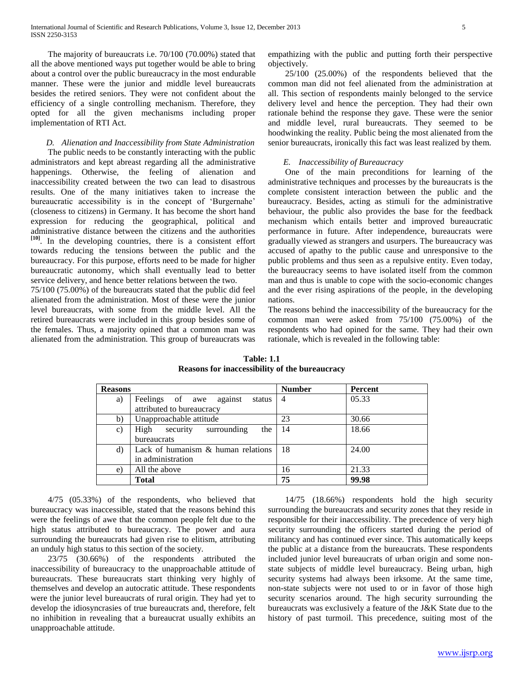The majority of bureaucrats i.e. 70/100 (70.00%) stated that all the above mentioned ways put together would be able to bring about a control over the public bureaucracy in the most endurable manner. These were the junior and middle level bureaucrats besides the retired seniors. They were not confident about the efficiency of a single controlling mechanism. Therefore, they opted for all the given mechanisms including proper implementation of RTI Act.

*D. Alienation and Inaccessibility from State Administration* The public needs to be constantly interacting with the public administrators and kept abreast regarding all the administrative happenings. Otherwise, the feeling of alienation and inaccessibility created between the two can lead to disastrous results. One of the many initiatives taken to increase the bureaucratic accessibility is in the concept of 'Burgernahe' (closeness to citizens) in Germany. It has become the short hand expression for reducing the geographical, political and administrative distance between the citizens and the authorities **[10]**. In the developing countries, there is a consistent effort towards reducing the tensions between the public and the bureaucracy. For this purpose, efforts need to be made for higher bureaucratic autonomy, which shall eventually lead to better service delivery, and hence better relations between the two.

75/100 (75.00%) of the bureaucrats stated that the public did feel alienated from the administration. Most of these were the junior level bureaucrats, with some from the middle level. All the retired bureaucrats were included in this group besides some of the females. Thus, a majority opined that a common man was alienated from the administration. This group of bureaucrats was empathizing with the public and putting forth their perspective objectively.

 25/100 (25.00%) of the respondents believed that the common man did not feel alienated from the administration at all. This section of respondents mainly belonged to the service delivery level and hence the perception. They had their own rationale behind the response they gave. These were the senior and middle level, rural bureaucrats. They seemed to be hoodwinking the reality. Public being the most alienated from the senior bureaucrats, ironically this fact was least realized by them.

#### *E. Inaccessibility of Bureaucracy*

 One of the main preconditions for learning of the administrative techniques and processes by the bureaucrats is the complete consistent interaction between the public and the bureaucracy. Besides, acting as stimuli for the administrative behaviour, the public also provides the base for the feedback mechanism which entails better and improved bureaucratic performance in future. After independence, bureaucrats were gradually viewed as strangers and usurpers. The bureaucracy was accused of apathy to the public cause and unresponsive to the public problems and thus seen as a repulsive entity. Even today, the bureaucracy seems to have isolated itself from the common man and thus is unable to cope with the socio-economic changes and the ever rising aspirations of the people, in the developing nations.

The reasons behind the inaccessibility of the bureaucracy for the common man were asked from 75/100 (75.00%) of the respondents who had opined for the same. They had their own rationale, which is revealed in the following table:

| <b>Reasons</b> |                                                                | <b>Number</b>  | Percent |
|----------------|----------------------------------------------------------------|----------------|---------|
| a)             | Feelings of awe against<br>status<br>attributed to bureaucracy | $\overline{4}$ | 05.33   |
| b)             | Unapproachable attitude                                        | 23             | 30.66   |
| $\mathbf{c})$  | High security<br>surrounding<br>the                            | -14            | 18.66   |
|                | bureaucrats                                                    |                |         |
| d)             | Lack of humanism & human relations                             | -18            | 24.00   |
|                | in administration                                              |                |         |
| $\epsilon$ )   | All the above                                                  | 16             | 21.33   |
|                | <b>Total</b>                                                   | 75             | 99.98   |

**Table: 1.1 Reasons for inaccessibility of the bureaucracy**

 4/75 (05.33%) of the respondents, who believed that bureaucracy was inaccessible, stated that the reasons behind this were the feelings of awe that the common people felt due to the high status attributed to bureaucracy. The power and aura surrounding the bureaucrats had given rise to elitism, attributing an unduly high status to this section of the society.

 23/75 (30.66%) of the respondents attributed the inaccessibility of bureaucracy to the unapproachable attitude of bureaucrats. These bureaucrats start thinking very highly of themselves and develop an autocratic attitude. These respondents were the junior level bureaucrats of rural origin. They had yet to develop the idiosyncrasies of true bureaucrats and, therefore, felt no inhibition in revealing that a bureaucrat usually exhibits an unapproachable attitude.

 14/75 (18.66%) respondents hold the high security surrounding the bureaucrats and security zones that they reside in responsible for their inaccessibility. The precedence of very high security surrounding the officers started during the period of militancy and has continued ever since. This automatically keeps the public at a distance from the bureaucrats. These respondents included junior level bureaucrats of urban origin and some nonstate subjects of middle level bureaucracy. Being urban, high security systems had always been irksome. At the same time, non-state subjects were not used to or in favor of those high security scenarios around. The high security surrounding the bureaucrats was exclusively a feature of the J&K State due to the history of past turmoil. This precedence, suiting most of the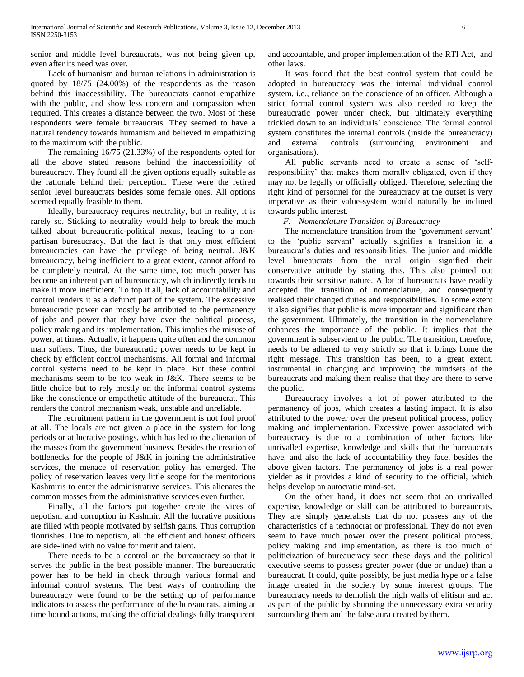senior and middle level bureaucrats, was not being given up, even after its need was over.

 Lack of humanism and human relations in administration is quoted by 18/75 (24.00%) of the respondents as the reason behind this inaccessibility. The bureaucrats cannot empathize with the public, and show less concern and compassion when required. This creates a distance between the two. Most of these respondents were female bureaucrats. They seemed to have a natural tendency towards humanism and believed in empathizing to the maximum with the public.

 The remaining 16/75 (21.33%) of the respondents opted for all the above stated reasons behind the inaccessibility of bureaucracy. They found all the given options equally suitable as the rationale behind their perception. These were the retired senior level bureaucrats besides some female ones. All options seemed equally feasible to them.

 Ideally, bureaucracy requires neutrality, but in reality, it is rarely so. Sticking to neutrality would help to break the much talked about bureaucratic-political nexus, leading to a nonpartisan bureaucracy. But the fact is that only most efficient bureaucracies can have the privilege of being neutral. J&K bureaucracy, being inefficient to a great extent, cannot afford to be completely neutral. At the same time, too much power has become an inherent part of bureaucracy, which indirectly tends to make it more inefficient. To top it all, lack of accountability and control renders it as a defunct part of the system. The excessive bureaucratic power can mostly be attributed to the permanency of jobs and power that they have over the political process, policy making and its implementation. This implies the misuse of power, at times. Actually, it happens quite often and the common man suffers. Thus, the bureaucratic power needs to be kept in check by efficient control mechanisms. All formal and informal control systems need to be kept in place. But these control mechanisms seem to be too weak in J&K. There seems to be little choice but to rely mostly on the informal control systems like the conscience or empathetic attitude of the bureaucrat. This renders the control mechanism weak, unstable and unreliable.

 The recruitment pattern in the government is not fool proof at all. The locals are not given a place in the system for long periods or at lucrative postings, which has led to the alienation of the masses from the government business. Besides the creation of bottlenecks for the people of J&K in joining the administrative services, the menace of reservation policy has emerged. The policy of reservation leaves very little scope for the meritorious Kashmiris to enter the administrative services. This alienates the common masses from the administrative services even further.

 Finally, all the factors put together create the vices of nepotism and corruption in Kashmir. All the lucrative positions are filled with people motivated by selfish gains. Thus corruption flourishes. Due to nepotism, all the efficient and honest officers are side-lined with no value for merit and talent.

 There needs to be a control on the bureaucracy so that it serves the public in the best possible manner. The bureaucratic power has to be held in check through various formal and informal control systems. The best ways of controlling the bureaucracy were found to be the setting up of performance indicators to assess the performance of the bureaucrats, aiming at time bound actions, making the official dealings fully transparent

and accountable, and proper implementation of the RTI Act, and other laws.

 It was found that the best control system that could be adopted in bureaucracy was the internal individual control system, i.e., reliance on the conscience of an officer. Although a strict formal control system was also needed to keep the bureaucratic power under check, but ultimately everything trickled down to an individuals' conscience. The formal control system constitutes the internal controls (inside the bureaucracy) and external controls (surrounding environment and organisations).

 All public servants need to create a sense of 'selfresponsibility' that makes them morally obligated, even if they may not be legally or officially obliged. Therefore, selecting the right kind of personnel for the bureaucracy at the outset is very imperative as their value-system would naturally be inclined towards public interest.

*F. Nomenclature Transition of Bureaucracy*

 The nomenclature transition from the 'government servant' to the 'public servant' actually signifies a transition in a bureaucrat's duties and responsibilities. The junior and middle level bureaucrats from the rural origin signified their conservative attitude by stating this. This also pointed out towards their sensitive nature. A lot of bureaucrats have readily accepted the transition of nomenclature, and consequently realised their changed duties and responsibilities. To some extent it also signifies that public is more important and significant than the government. Ultimately, the transition in the nomenclature enhances the importance of the public. It implies that the government is subservient to the public. The transition, therefore, needs to be adhered to very strictly so that it brings home the right message. This transition has been, to a great extent, instrumental in changing and improving the mindsets of the bureaucrats and making them realise that they are there to serve the public.

 Bureaucracy involves a lot of power attributed to the permanency of jobs, which creates a lasting impact. It is also attributed to the power over the present political process, policy making and implementation. Excessive power associated with bureaucracy is due to a combination of other factors like unrivalled expertise, knowledge and skills that the bureaucrats have, and also the lack of accountability they face, besides the above given factors. The permanency of jobs is a real power yielder as it provides a kind of security to the official, which helps develop an autocratic mind-set.

 On the other hand, it does not seem that an unrivalled expertise, knowledge or skill can be attributed to bureaucrats. They are simply generalists that do not possess any of the characteristics of a technocrat or professional. They do not even seem to have much power over the present political process, policy making and implementation, as there is too much of politicization of bureaucracy seen these days and the political executive seems to possess greater power (due or undue) than a bureaucrat. It could, quite possibly, be just media hype or a false image created in the society by some interest groups. The bureaucracy needs to demolish the high walls of elitism and act as part of the public by shunning the unnecessary extra security surrounding them and the false aura created by them.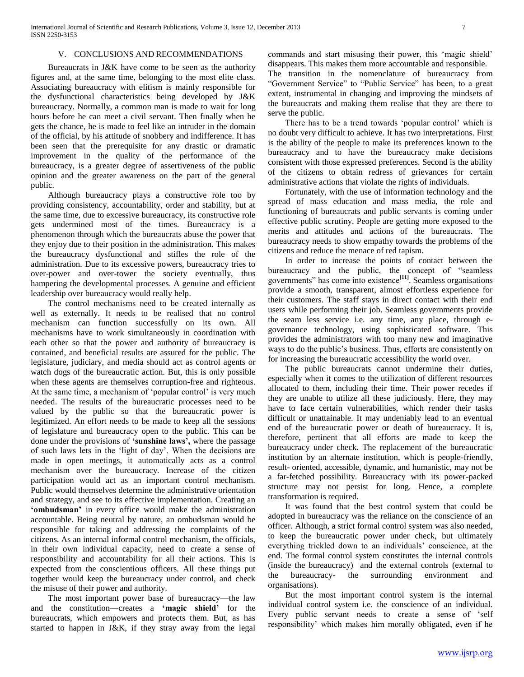## V. CONCLUSIONS AND RECOMMENDATIONS

 Bureaucrats in J&K have come to be seen as the authority figures and, at the same time, belonging to the most elite class. Associating bureaucracy with elitism is mainly responsible for the dysfunctional characteristics being developed by J&K bureaucracy. Normally, a common man is made to wait for long hours before he can meet a civil servant. Then finally when he gets the chance, he is made to feel like an intruder in the domain of the official, by his attitude of snobbery and indifference. It has been seen that the prerequisite for any drastic or dramatic improvement in the quality of the performance of the bureaucracy, is a greater degree of assertiveness of the public opinion and the greater awareness on the part of the general public.

 Although bureaucracy plays a constructive role too by providing consistency, accountability, order and stability, but at the same time, due to excessive bureaucracy, its constructive role gets undermined most of the times. Bureaucracy is a phenomenon through which the bureaucrats abuse the power that they enjoy due to their position in the administration. This makes the bureaucracy dysfunctional and stifles the role of the administration. Due to its excessive powers, bureaucracy tries to over-power and over-tower the society eventually, thus hampering the developmental processes. A genuine and efficient leadership over bureaucracy would really help.

 The control mechanisms need to be created internally as well as externally. It needs to be realised that no control mechanism can function successfully on its own. All mechanisms have to work simultaneously in coordination with each other so that the power and authority of bureaucracy is contained, and beneficial results are assured for the public. The legislature, judiciary, and media should act as control agents or watch dogs of the bureaucratic action. But, this is only possible when these agents are themselves corruption-free and righteous. At the same time, a mechanism of 'popular control' is very much needed. The results of the bureaucratic processes need to be valued by the public so that the bureaucratic power is legitimized. An effort needs to be made to keep all the sessions of legislature and bureaucracy open to the public. This can be done under the provisions of **'sunshine laws',** where the passage of such laws lets in the 'light of day'. When the decisions are made in open meetings, it automatically acts as a control mechanism over the bureaucracy. Increase of the citizen participation would act as an important control mechanism. Public would themselves determine the administrative orientation and strategy, and see to its effective implementation. Creating an **'ombudsman'** in every office would make the administration accountable. Being neutral by nature, an ombudsman would be responsible for taking and addressing the complaints of the citizens. As an internal informal control mechanism, the officials, in their own individual capacity, need to create a sense of responsibility and accountability for all their actions. This is expected from the conscientious officers. All these things put together would keep the bureaucracy under control, and check the misuse of their power and authority.

 The most important power base of bureaucracy—the law and the constitution—creates a **'magic shield'** for the bureaucrats, which empowers and protects them. But, as has started to happen in J&K, if they stray away from the legal

commands and start misusing their power, this 'magic shield' disappears. This makes them more accountable and responsible.

The transition in the nomenclature of bureaucracy from "Government Service" to "Public Service" has been, to a great extent, instrumental in changing and improving the mindsets of the bureaucrats and making them realise that they are there to serve the public.

 There has to be a trend towards 'popular control' which is no doubt very difficult to achieve. It has two interpretations. First is the ability of the people to make its preferences known to the bureaucracy and to have the bureaucracy make decisions consistent with those expressed preferences. Second is the ability of the citizens to obtain redress of grievances for certain administrative actions that violate the rights of individuals.

 Fortunately, with the use of information technology and the spread of mass education and mass media, the role and functioning of bureaucrats and public servants is coming under effective public scrutiny. People are getting more exposed to the merits and attitudes and actions of the bureaucrats. The bureaucracy needs to show empathy towards the problems of the citizens and reduce the menace of red tapism.

 In order to increase the points of contact between the bureaucracy and the public, the concept of "seamless governments" has come into existence<sup>[11]</sup>. Seamless organisations provide a smooth, transparent, almost effortless experience for their customers. The staff stays in direct contact with their end users while performing their job. Seamless governments provide the seam less service i.e. any time, any place, through egovernance technology, using sophisticated software. This provides the administrators with too many new and imaginative ways to do the public's business. Thus, efforts are consistently on for increasing the bureaucratic accessibility the world over.

 The public bureaucrats cannot undermine their duties, especially when it comes to the utilization of different resources allocated to them, including their time. Their power recedes if they are unable to utilize all these judiciously. Here, they may have to face certain vulnerabilities, which render their tasks difficult or unattainable. It may undeniably lead to an eventual end of the bureaucratic power or death of bureaucracy. It is, therefore, pertinent that all efforts are made to keep the bureaucracy under check. The replacement of the bureaucratic institution by an alternate institution, which is people-friendly, result- oriented, accessible, dynamic, and humanistic, may not be a far-fetched possibility. Bureaucracy with its power-packed structure may not persist for long. Hence, a complete transformation is required.

 It was found that the best control system that could be adopted in bureaucracy was the reliance on the conscience of an officer. Although, a strict formal control system was also needed, to keep the bureaucratic power under check, but ultimately everything trickled down to an individuals' conscience, at the end. The formal control system constitutes the internal controls (inside the bureaucracy) and the external controls (external to the bureaucracy- the surrounding environment and organisations).

 But the most important control system is the internal individual control system i.e. the conscience of an individual. Every public servant needs to create a sense of 'self responsibility' which makes him morally obligated, even if he